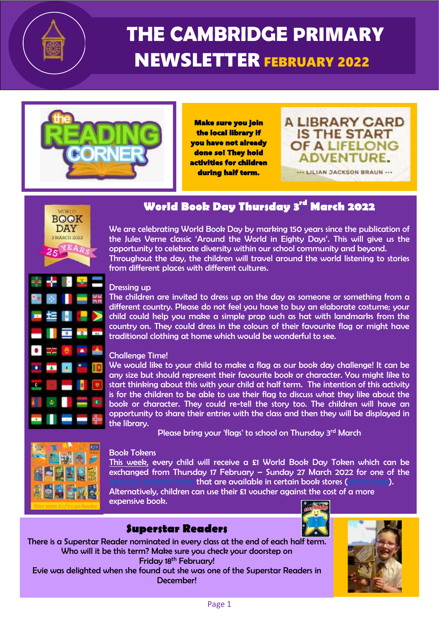

# **THE CAMBRIDGE P**RIMARY NEWSLETTER FEBRUARY 2022



Make sure you join the local library if you have not already done so! They hold activities for children during half term.





## **World Book Day Thursday 3rd March 2022**

We are celebrating World Book Day by marking 150 years since the publication of the Jules Verne classic 'Around the World in Eighty Days'. This will give us the opportunity to celebrate diversity within our school community and beyond. Throughout the day, the children will travel around the world listening to stories from different places with different cultures.

#### Dressing up

The children are invited to dress up on the day as someone or something from a different country. Please do not feel you have to buy an elaborate costume; your child could help you make a simple prop such as hat with landmarks from the country on. They could dress in the colours of their favourite flag or might have traditional clothing at home which would be wonderful to see.

#### Challenge Time!

We would like to your child to make a flag as our book day challenge! It can be any size but should represent their favourite book or character. You might like to start thinking about this with your child at half term. The intention of this activity is for the children to be able to use their flag to discuss what they like about the book or character. They could re-tell the story too. The children will have an opportunity to share their entries with the class and then they will be displayed in the library.

Please bring your 'flags' to school on Thursday 3<sup>rd</sup> March



#### Book Tokens

This week, every child will receive a £1 World Book Day Token which can be exchanged from Thursday 17 February – Sunday 27 March 2022 for one of the that are available in certain book stores [\(search here\)](https://www.booksaremybag.com/).

Alternatively, children can use their £1 voucher against the cost of a more expensive book.

## **Superstar Readers**

There is a Superstar Reader nominated in every class at the end of each half term. Who will it be this term? Make sure you check your doorstep on Friday 18<sup>th</sup> February! Evie was delighted when she found out she was one of the Superstar Readers in

l

December!